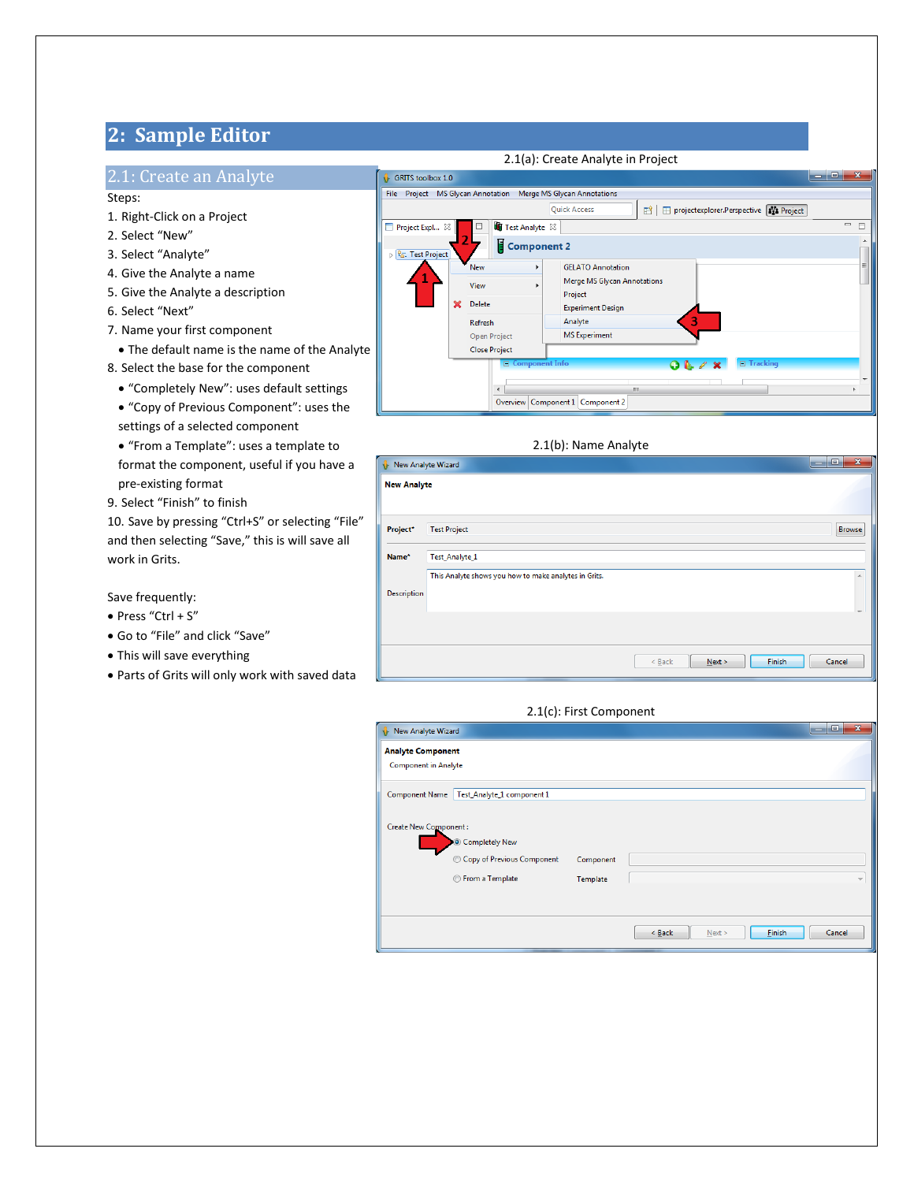# **2: Sample Editor**

### 2.1: Create an Analyte

Steps:

- 1. Right-Click on a Project
- 2. Select "New"
- 3. Select "Analyte"
- 4. Give the Analyte a name
- 5. Give the Analyte a description
- 6. Select "Next"
- 7. Name your first component
- The default name is the name of the Analyte
- 8. Select the base for the component
	- "Completely New": uses default settings
	- "Copy of Previous Component": uses the settings of a selected component
	- "From a Template": uses a template to format the component, useful if you have a pre-existing format
- 9. Select "Finish" to finish

10. Save by pressing "Ctrl+S" or selecting "File" and then selecting "Save," this is will save all work in Grits.

Save frequently:

- Press "Ctrl + S"
- Go to "File" and click "Save"
- This will save everything
- Parts of Grits will only work with saved data

### 2.1(a): Create Analyte in Project

| GRITS toolbox 1.0                                                |   |                           |  |                                                                       | نقابه | $\mathbf{x}$                      |  |  |
|------------------------------------------------------------------|---|---------------------------|--|-----------------------------------------------------------------------|-------|-----------------------------------|--|--|
| File<br>Project MS Glycan Annotation Merge MS Glycan Annotations |   |                           |  |                                                                       |       |                                   |  |  |
|                                                                  |   |                           |  | <b>Quick Access</b><br>projectexplorer.Perspective   1/2 Project<br>昏 |       |                                   |  |  |
| ⊟<br>Project Expl $\boxtimes$                                    |   | Test Analyte 23<br>$\Box$ |  |                                                                       |       | $\qquad \qquad \blacksquare$<br>г |  |  |
| <sup>Q</sup> <sub>G</sub> . Test Project                         |   | Component 2               |  |                                                                       |       |                                   |  |  |
|                                                                  |   | <b>New</b><br>Þ.          |  | <b>GELATO Annotation</b>                                              |       | Ξ                                 |  |  |
|                                                                  |   | View                      |  | Merge MS Glycan Annotations<br>Project                                |       |                                   |  |  |
|                                                                  | × | <b>Delete</b>             |  | <b>Experiment Design</b>                                              |       |                                   |  |  |
|                                                                  |   | <b>Refresh</b>            |  | Analyte                                                               |       |                                   |  |  |
|                                                                  |   | Open Project              |  | <b>MS</b> Experiment                                                  |       |                                   |  |  |
|                                                                  |   | <b>Close Project</b>      |  |                                                                       |       |                                   |  |  |
|                                                                  |   | □ Component Info          |  | $\Box$ Tracking<br>$Q \& Z \times$                                    |       |                                   |  |  |
|                                                                  |   | $\overline{ }$            |  | Ш                                                                     |       |                                   |  |  |
|                                                                  |   |                           |  | Overview Component 1 Component 2                                      |       |                                   |  |  |

### 2.1(b): Name Analyte

| New Analyte Wizard |                                                       |                              | $\Box$<br>$\mathbf{x}$<br>$\overline{\phantom{a}}$ |
|--------------------|-------------------------------------------------------|------------------------------|----------------------------------------------------|
| <b>New Analyte</b> |                                                       |                              |                                                    |
| Project*           | <b>Test Project</b>                                   |                              | Browse                                             |
| Name*              | Test_Analyte_1                                        |                              |                                                    |
|                    | This Analyte shows you how to make analytes in Grits. |                              | ▲                                                  |
| Description        |                                                       |                              |                                                    |
|                    |                                                       |                              |                                                    |
|                    |                                                       | Finish<br>$<$ Back<br>Next > | Cancel                                             |

### 2.1(c): First Component

| New Analyte Wizard                                                         |                            |                       |             |      |               | $\Box$ | $\mathbf{x}$             |
|----------------------------------------------------------------------------|----------------------------|-----------------------|-------------|------|---------------|--------|--------------------------|
| <b>Analyte Component</b><br><b>Component in Analyte</b>                    |                            |                       |             |      |               |        |                          |
| Test_Analyte_1 component 1<br><b>Component Name</b>                        |                            |                       |             |      |               |        |                          |
| Create New Component:<br><b>O</b> Completely New<br><b>Erom a Template</b> | Copy of Previous Component | Component<br>Template |             |      |               |        | $\overline{\phantom{a}}$ |
|                                                                            |                            |                       | $\leq$ Back | Next | <b>Einish</b> | Cancel |                          |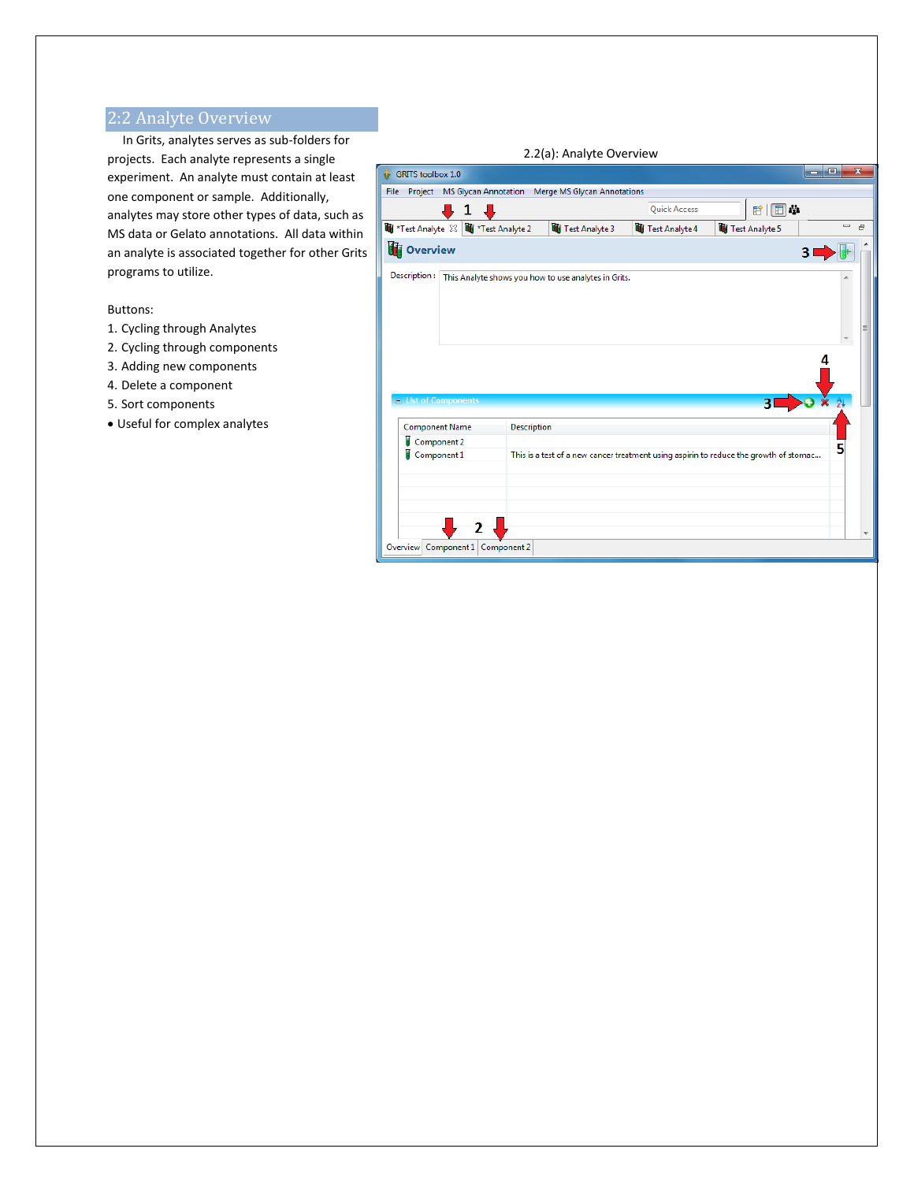# 2:2 Analyte Overview

 In Grits, analytes serves as sub-folders for projects. Each analyte represents a single experiment. An analyte must contain at least one component or sample. Additionally, analytes may store other types of data, such as MS data or Gelato annotations. All data within an analyte is associated together for other Grits programs to utilize.

### Buttons:

- 1. Cycling through Analytes
- 2. Cycling through components
- 3. Adding new components
- 4. Delete a component
- 5. Sort components
- Useful for complex analytes

|                                                                  | 2.2(a): Analyte Overview                                                              |                     |                         |                      |                         |  |  |  |
|------------------------------------------------------------------|---------------------------------------------------------------------------------------|---------------------|-------------------------|----------------------|-------------------------|--|--|--|
| <b>GRITS</b> toolbox 1.0                                         |                                                                                       |                     |                         | $\Box$<br><b>100</b> | $\overline{\mathbf{x}}$ |  |  |  |
| File Project MS Glycan Annotation<br>Merge MS Glycan Annotations |                                                                                       |                     |                         |                      |                         |  |  |  |
|                                                                  |                                                                                       | <b>Quick Access</b> | 暗   国 拳                 |                      |                         |  |  |  |
| Test Analyte $\boxtimes$<br>Test Analyte 2                       | Test Analyte 3                                                                        | Test Analyte 4      | Test Analyte 5          | $\qquad \qquad$      | $\bar{\sigma}$          |  |  |  |
| <b>T</b> overview                                                |                                                                                       |                     |                         | 3                    |                         |  |  |  |
| Description:                                                     | This Analyte shows you how to use analytes in Grits.                                  |                     |                         |                      |                         |  |  |  |
|                                                                  |                                                                                       |                     |                         |                      |                         |  |  |  |
|                                                                  |                                                                                       |                     |                         |                      |                         |  |  |  |
|                                                                  |                                                                                       |                     |                         |                      |                         |  |  |  |
|                                                                  |                                                                                       |                     |                         |                      |                         |  |  |  |
|                                                                  |                                                                                       |                     |                         |                      |                         |  |  |  |
| $\Box$ List of Components                                        |                                                                                       |                     | $\overline{\mathbf{3}}$ |                      |                         |  |  |  |
|                                                                  |                                                                                       |                     |                         |                      |                         |  |  |  |
| <b>Component Name</b>                                            | Description                                                                           |                     |                         |                      |                         |  |  |  |
| Component 2<br>н<br>Component 1                                  | This is a test of a new cancer treatment using aspirin to reduce the growth of stomac |                     |                         |                      |                         |  |  |  |
|                                                                  |                                                                                       |                     |                         |                      |                         |  |  |  |
|                                                                  |                                                                                       |                     |                         |                      |                         |  |  |  |
|                                                                  |                                                                                       |                     |                         |                      |                         |  |  |  |
|                                                                  |                                                                                       |                     |                         |                      |                         |  |  |  |
|                                                                  |                                                                                       |                     |                         |                      |                         |  |  |  |
| Overview Component 1 Component 2                                 |                                                                                       |                     |                         |                      |                         |  |  |  |